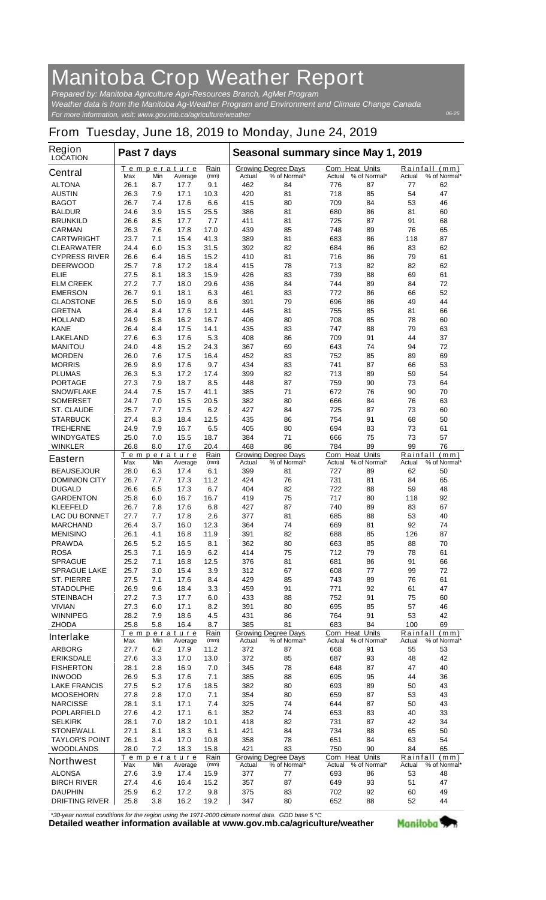## **Manitoba Crop Weather Report**

*For more information, visit: www.gov.mb.ca/agriculture/weather Prepared by: Manitoba Agriculture Agri-Resources Branch, AgMet Program Weather data is from the Manitoba Ag-Weather Program and Environment and Climate Change Canada*

## **From Tuesday, June 18, 2019 to Monday, June 24, 2019**

| <b>Region</b><br><b>LOCATION</b>          | Past 7 days  |            |                               |              | Seasonal summary since May 1, 2019 |                                            |                                  |              |                    |                               |
|-------------------------------------------|--------------|------------|-------------------------------|--------------|------------------------------------|--------------------------------------------|----------------------------------|--------------|--------------------|-------------------------------|
| <b>Central</b>                            | Max          | Min        | Temperature<br>Average        | Rain<br>(mm) | Actual                             | <b>Growing Degree Days</b><br>% of Normal* | <b>Corn Heat Units</b><br>Actual | % of Normal* | Actual             | Rainfall (mm)<br>% of Normal* |
| <b>ALTONA</b>                             | 26.1         | 8.7        | 17.7                          | 9.1          | 462                                | 84                                         | 776                              | 87           | 77                 | 62                            |
| <b>AUSTIN</b>                             | 26.3         | 7.9        | 17.1                          | 10.3         | 420                                | 81                                         | 718                              | 85           | 54                 | 47                            |
| <b>BAGOT</b>                              | 26.7         | 7.4        | 17.6                          | 6.6          | 415                                | 80                                         | 709                              | 84           | 53                 | 46                            |
| <b>BALDUR</b>                             | 24.6         | 3.9        | 15.5                          | 25.5         | 386                                | 81                                         | 680                              | 86           | 81                 | 60                            |
| <b>BRUNKILD</b><br><b>CARMAN</b>          | 26.6<br>26.3 | 8.5<br>7.6 | 17.7<br>17.8                  | 7.7<br>17.0  | 411<br>439                         | 81<br>85                                   | 725<br>748                       | 87<br>89     | 91<br>76           | 68<br>65                      |
| <b>CARTWRIGHT</b>                         | 23.7         | 7.1        | 15.4                          | 41.3         | 389                                | 81                                         | 683                              | 86           | 118                | 87                            |
| <b>CLEARWATER</b>                         | 24.4         | 6.0        | 15.3                          | 31.5         | 392                                | 82                                         | 684                              | 86           | 83                 | 62                            |
| <b>CYPRESS RIVER</b>                      | 26.6         | 6.4        | 16.5                          | 15.2         | 410                                | 81                                         | 716                              | 86           | 79                 | 61                            |
| <b>DEERWOOD</b>                           | 25.7         | 7.8        | 17.2                          | 18.4         | 415                                | 78                                         | 713                              | 82           | 82                 | 62                            |
| ELIE                                      | 27.5         | 8.1        | 18.3                          | 15.9         | 426                                | 83                                         | 739                              | 88           | 69                 | 61                            |
| <b>ELM CREEK</b>                          | 27.2         | 7.7        | 18.0                          | 29.6         | 436                                | 84                                         | 744                              | 89           | 84                 | 72                            |
| <b>EMERSON</b>                            | 26.7         | 9.1        | 18.1                          | 6.3          | 461                                | 83                                         | 772                              | 86           | 66                 | 52                            |
| <b>GLADSTONE</b>                          | 26.5         | 5.0        | 16.9                          | 8.6          | 391                                | 79                                         | 696                              | 86           | 49                 | 44                            |
| <b>GRETNA</b>                             | 26.4         | 8.4        | 17.6                          | 12.1         | 445                                | 81                                         | 755                              | 85           | 81                 | 66                            |
| <b>HOLLAND</b>                            | 24.9         | 5.8        | 16.2                          | 16.7         | 406                                | 80                                         | 708                              | 85           | 78                 | 60                            |
| <b>KANE</b><br><b>LAKELAND</b>            | 26.4<br>27.6 | 8.4<br>6.3 | 17.5<br>17.6                  | 14.1<br>5.3  | 435<br>408                         | 83<br>86                                   | 747<br>709                       | 88<br>91     | 79<br>44           | 63<br>37                      |
| <b>MANITOU</b>                            | 24.0         | 4.8        | 15.2                          | 24.3         | 367                                | 69                                         | 643                              | 74           | 94                 | 72                            |
| <b>MORDEN</b>                             | 26.0         | 7.6        | 17.5                          | 16.4         | 452                                | 83                                         | 752                              | 85           | 89                 | 69                            |
| <b>MORRIS</b>                             | 26.9         | 8.9        | 17.6                          | 9.7          | 434                                | 83                                         | 741                              | 87           | 66                 | 53                            |
| <b>PLUMAS</b>                             | 26.3         | 5.3        | 17.2                          | 17.4         | 399                                | 82                                         | 713                              | 89           | 59                 | 54                            |
| <b>PORTAGE</b>                            | 27.3         | 7.9        | 18.7                          | 8.5          | 448                                | 87                                         | 759                              | 90           | 73                 | 64                            |
| <b>SNOWFLAKE</b>                          | 24.4         | 7.5        | 15.7                          | 41.1         | 385                                | 71                                         | 672                              | 76           | 90                 | 70                            |
| <b>SOMERSET</b>                           | 24.7         | 7.0        | 15.5                          | 20.5         | 382                                | 80                                         | 666                              | 84           | 76                 | 63                            |
| <b>ST. CLAUDE</b>                         | 25.7         | 7.7        | 17.5                          | 6.2          | 427                                | 84                                         | 725                              | 87           | 73                 | 60                            |
| <b>STARBUCK</b>                           | 27.4         | 8.3        | 18.4                          | 12.5         | 435                                | 86                                         | 754                              | 91           | 68                 | 50                            |
| <b>TREHERNE</b>                           | 24.9         | 7.9        | 16.7                          | 6.5          | 405                                | 80                                         | 694                              | 83           | 73                 | 61                            |
| <b>WINDYGATES</b>                         | 25.0         | 7.0        | 15.5                          | 18.7         | 384                                | 71                                         | 666                              | 75           | 73                 | 57                            |
| <b>WINKLER</b>                            | 26.8         | 8.0        | 17.6                          | 20.4<br>Rain | 468                                | 86                                         | 784<br><b>Corn Heat Units</b>    | 89           | 99                 | 76<br>Rainfall (mm)           |
| <b>Eastern</b>                            | Max          | Min        | <u>Temperature</u><br>Average | (mm)         | Actual                             | <b>Growing Degree Days</b><br>% of Normal* | Actual                           | % of Normal* | Actual             | % of Normal*                  |
| <b>BEAUSEJOUR</b>                         | 28.0         | 6.3        | 17.4                          | 6.1          | 399                                | 81                                         | 727                              | 89           | 62                 | 50                            |
| <b>DOMINION CITY</b>                      | 26.7         | 7.7        | 17.3                          | 11.2         | 424                                | 76                                         | 731                              | 81           | 84                 | 65                            |
| <b>DUGALD</b>                             | 26.6         | 6.5        | 17.3                          | 6.7          | 404                                | 82                                         | 722                              | 88           | 59                 | 48                            |
| <b>GARDENTON</b><br><b>KLEEFELD</b>       | 25.8<br>26.7 | 6.0<br>7.8 | 16.7<br>17.6                  | 16.7<br>6.8  | 419<br>427                         | 75<br>87                                   | 717<br>740                       | 80<br>89     | 118<br>83          | 92<br>67                      |
| <b>LAC DU BONNET</b>                      | 27.7         | 7.7        | 17.8                          | 2.6          | 377                                | 81                                         | 685                              | 88           | 53                 | 40                            |
| <b>MARCHAND</b>                           | 26.4         | 3.7        | 16.0                          | 12.3         | 364                                | 74                                         | 669                              | 81           | 92                 | 74                            |
| <b>MENISINO</b>                           | 26.1         | 4.1        | 16.8                          | 11.9         | 391                                | 82                                         | 688                              | 85           | 126                | 87                            |
| <b>PRAWDA</b>                             | 26.5         | 5.2        | 16.5                          | 8.1          | 362                                | 80                                         | 663                              | 85           | 88                 | 70                            |
| <b>ROSA</b>                               | 25.3         | 7.1        | 16.9                          | 6.2          | 414                                | 75                                         | 712                              | 79           | 78                 | 61                            |
| <b>SPRAGUE</b>                            | 25.2         | 7.1        | 16.8                          | 12.5         | 376                                | 81                                         | 681                              | 86           | 91                 | 66                            |
| <b>SPRAGUE LAKE</b>                       | 25.7         | 3.0        | 15.4                          | 3.9          | 312                                | 67                                         | 608                              | 77           | 99                 | 72                            |
| <b>ST. PIERRE</b>                         | 27.5         | 7.1        | 17.6                          | 8.4          | 429                                | 85                                         | 743                              | 89           | 76                 | 61                            |
| <b>STADOLPHE</b>                          | 26.9         | 9.6        | 18.4                          | 3.3          | 459                                | 91                                         | 771                              | 92           | 61                 | 47                            |
| <b>STEINBACH</b>                          | 27.2         | 7.3        | 17.7                          | 6.0          | 433                                | 88                                         | 752                              | 91           | 75                 | 60                            |
| <b>VIVIAN</b>                             | 27.3         | 6.0        | 17.1                          | 8.2          | 391                                | 80                                         | 695                              | 85           | 57                 | 46                            |
| <b>WINNIPEG</b><br><b>ZHODA</b>           | 28.2<br>25.8 | 7.9<br>5.8 | 18.6<br>16.4                  | 4.5<br>8.7   | 431<br>385                         | 86<br>81                                   | 764<br>683                       | 91<br>84     | 53<br>100          | 42<br>69                      |
| <b>Interlake</b>                          | Max          | Min        | <b>Temperature</b><br>Average | Rain<br>(mm) | Actual                             | <b>Growing Degree Days</b><br>% of Normal* | Corn Heat Units<br>Actual        | % of Normal* | Rainfall<br>Actual | (mm)<br>% of Normal*          |
| <b>ARBORG</b>                             | 27.7         | 6.2        | 17.9                          | 11.2         | 372                                | 87                                         | 668                              | 91           | 55                 | 53                            |
| <b>ERIKSDALE</b>                          | 27.6         | 3.3        | 17.0                          | 13.0         | 372                                | 85                                         | 687                              | 93           | 48                 | 42                            |
| <b>FISHERTON</b>                          | 28.1         | 2.8        | 16.9                          | 7.0          | 345                                | 78                                         | 648                              | 87           | 47                 | 40                            |
| <b>INWOOD</b>                             | 26.9         | 5.3        | 17.6                          | 7.1          | 385                                | 88                                         | 695                              | 95           | 44                 | 36                            |
| <b>LAKE FRANCIS</b>                       | 27.5         | 5.2        | 17.6                          | 18.5         | 382                                | 80                                         | 693                              | 89           | 50                 | 43                            |
| <b>MOOSEHORN</b>                          | 27.8         | 2.8        | 17.0                          | 7.1          | 354                                | 80                                         | 659                              | 87           | 53                 | 43                            |
| <b>NARCISSE</b>                           | 28.1         | 3.1        | 17.1                          | 7.4          | 325                                | 74                                         | 644                              | 87           | 50                 | 43                            |
| <b>POPLARFIELD</b>                        | 27.6         | 4.2        | 17.1                          | 6.1          | 352                                | 74                                         | 653                              | 83           | 40                 | 33                            |
| <b>SELKIRK</b>                            | 28.1         | 7.0        | 18.2                          | 10.1         | 418                                | 82                                         | 731                              | 87           | 42                 | 34                            |
| <b>STONEWALL</b><br><b>TAYLOR'S POINT</b> | 27.1<br>26.1 | 8.1        | 18.3                          | 6.1          | 421<br>358                         | 84<br>78                                   | 734                              | 88           | 65<br>63           | 50<br>54                      |
| <b>WOODLANDS</b>                          | 28.0         | 3.4<br>7.2 | 17.0<br>18.3                  | 10.8<br>15.8 | 421                                | 83                                         | 651<br>750                       | 84<br>90     | 84                 | 65                            |
| <b>Northwest</b>                          | Max          | Min        | Temperature<br>Average        | Rain<br>(mm) | Actual                             | <b>Growing Degree Days</b><br>% of Normal* | <b>Corn Heat Units</b><br>Actual | % of Normal* | Rainfall<br>Actual | (mm)<br>% of Normal*          |
| <b>ALONSA</b>                             | 27.6         | 3.9        | 17.4                          | 15.9         | 377                                | 77                                         | 693                              | 86           | 53                 | 48                            |
| <b>BIRCH RIVER</b>                        | 27.4         | 4.6        | 16.4                          | 15.2         | 357                                | 87                                         | 649                              | 93           | 51                 | 47                            |
| <b>DAUPHIN</b>                            | 25.9         | 6.2        | 17.2                          | 9.8          | 375                                | 83                                         | 702                              | 92           | 60                 | 49                            |
| <b>DRIFTING RIVER</b>                     | 25.8         | 3.8        | 16.2                          | 19.2         | 347                                | 80                                         | 652                              | 88           | 52                 | 44                            |

*\*30-year normal conditions for the region using the 1971-2000 climate normal data. GDD base 5 °C*<br>Detailed weather information available at www.gov.mb.ca/agriculture/weather